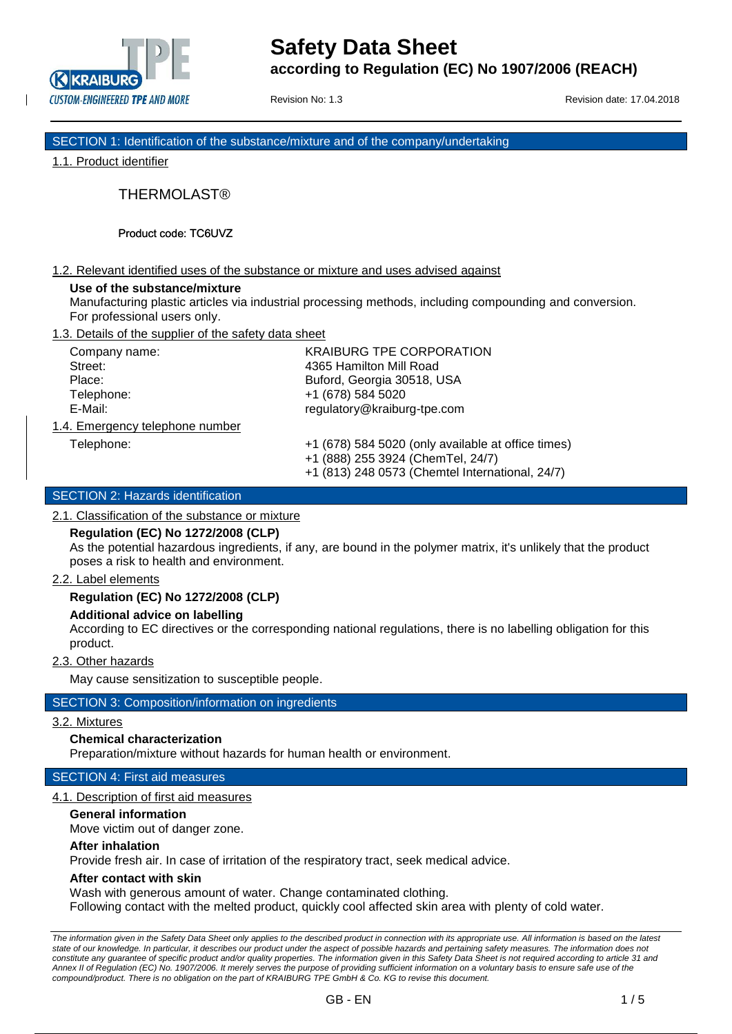

Revision No: 1.3 **Revision date: 17.04.2018** 

SECTION 1: Identification of the substance/mixture and of the company/undertaking

1.1. Product identifier

THERMOLAST®

Product code: TC6UVZ

## 1.2. Relevant identified uses of the substance or mixture and uses advised against

#### **Use of the substance/mixture**

Manufacturing plastic articles via industrial processing methods, including compounding and conversion. For professional users only.

1.3. Details of the supplier of the safety data sheet

| Company name:                   | <b>KRAIBURG TPE CORPORATION</b> |
|---------------------------------|---------------------------------|
| Street:                         | 4365 Hamilton Mill Road         |
| Place:                          | Buford, Georgia 30518, USA      |
| Telephone:                      | +1 (678) 584 5020               |
| E-Mail:                         | regulatory@kraiburg-tpe.com     |
| 1.4. Emergency telephone number |                                 |

Telephone: +1 (678) 584 5020 (only available at office times) +1 (888) 255 3924 (ChemTel, 24/7)

+1 (813) 248 0573 (Chemtel International, 24/7)

# SECTION 2: Hazards identification

2.1. Classification of the substance or mixture

## **Regulation (EC) No 1272/2008 (CLP)**

As the potential hazardous ingredients, if any, are bound in the polymer matrix, it's unlikely that the product poses a risk to health and environment.

## 2.2. Label elements

# **Regulation (EC) No 1272/2008 (CLP)**

## **Additional advice on labelling**

According to EC directives or the corresponding national regulations, there is no labelling obligation for this product.

## 2.3. Other hazards

May cause sensitization to susceptible people.

# SECTION 3: Composition/information on ingredients

## 3.2. Mixtures

## **Chemical characterization**

Preparation/mixture without hazards for human health or environment.

## SECTION 4: First aid measures

## 4.1. Description of first aid measures

**General information**

Move victim out of danger zone.

## **After inhalation**

Provide fresh air. In case of irritation of the respiratory tract, seek medical advice.

#### **After contact with skin**

Wash with generous amount of water. Change contaminated clothing.

Following contact with the melted product, quickly cool affected skin area with plenty of cold water.

*The information given in the Safety Data Sheet only applies to the described product in connection with its appropriate use. All information is based on the latest state of our knowledge. In particular, it describes our product under the aspect of possible hazards and pertaining safety measures. The information does not*  constitute any guarantee of specific product and/or quality properties. The information given in this Safety Data Sheet is not required according to article 31 and *Annex II of Regulation (EC) No. 1907/2006. It merely serves the purpose of providing sufficient information on a voluntary basis to ensure safe use of the compound/product. There is no obligation on the part of KRAIBURG TPE GmbH & Co. KG to revise this document.*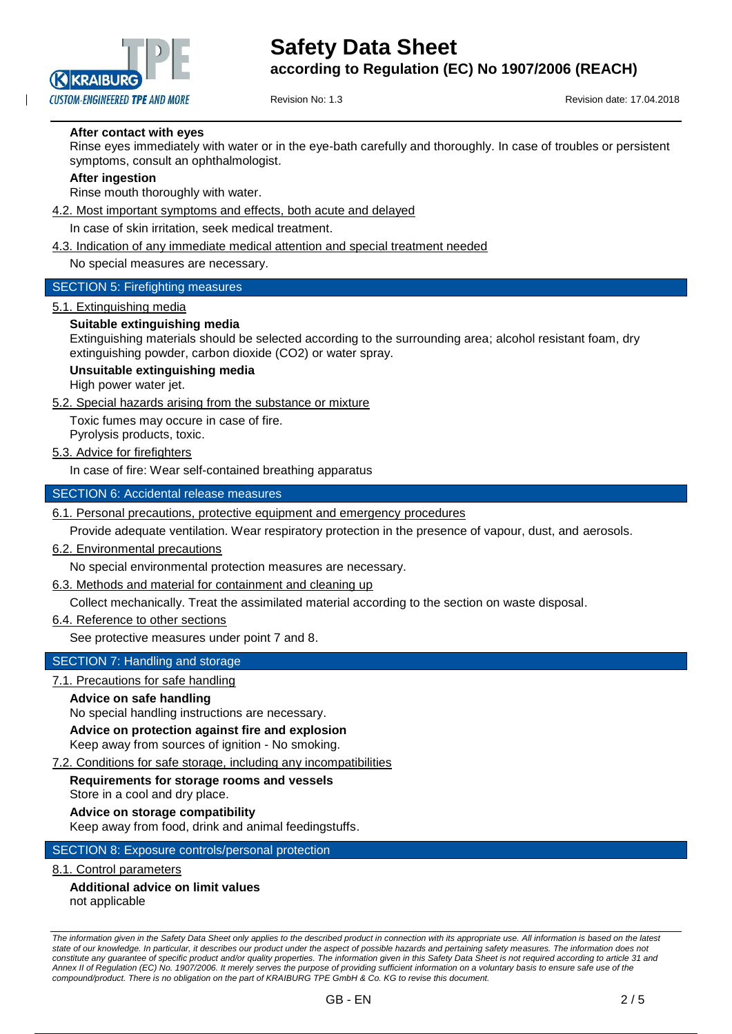

Revision No: 1.3 **Revision date: 17.04.2018** 

# **After contact with eyes**

Rinse eyes immediately with water or in the eye-bath carefully and thoroughly. In case of troubles or persistent symptoms, consult an ophthalmologist.

#### **After ingestion**

Rinse mouth thoroughly with water.

## 4.2. Most important symptoms and effects, both acute and delayed

In case of skin irritation, seek medical treatment.

#### 4.3. Indication of any immediate medical attention and special treatment needed

No special measures are necessary.

## SECTION 5: Firefighting measures

#### 5.1. Extinguishing media

#### **Suitable extinguishing media**

Extinguishing materials should be selected according to the surrounding area; alcohol resistant foam, dry extinguishing powder, carbon dioxide (CO2) or water spray.

## **Unsuitable extinguishing media**

High power water jet.

5.2. Special hazards arising from the substance or mixture

Toxic fumes may occure in case of fire.

Pyrolysis products, toxic.

## 5.3. Advice for firefighters

In case of fire: Wear self-contained breathing apparatus

#### SECTION 6: Accidental release measures

6.1. Personal precautions, protective equipment and emergency procedures

Provide adequate ventilation. Wear respiratory protection in the presence of vapour, dust, and aerosols.

#### 6.2. Environmental precautions

No special environmental protection measures are necessary.

## 6.3. Methods and material for containment and cleaning up

Collect mechanically. Treat the assimilated material according to the section on waste disposal.

#### 6.4. Reference to other sections

See protective measures under point 7 and 8.

## SECTION 7: Handling and storage

## 7.1. Precautions for safe handling

#### **Advice on safe handling**

No special handling instructions are necessary.

**Advice on protection against fire and explosion**

Keep away from sources of ignition - No smoking.

## 7.2. Conditions for safe storage, including any incompatibilities

#### **Requirements for storage rooms and vessels** Store in a cool and dry place.

**Advice on storage compatibility** Keep away from food, drink and animal feedingstuffs.

#### SECTION 8: Exposure controls/personal protection

## 8.1. Control parameters

# **Additional advice on limit values** not applicable

*The information given in the Safety Data Sheet only applies to the described product in connection with its appropriate use. All information is based on the latest*  state of our knowledge. In particular, it describes our product under the aspect of possible hazards and pertaining safety measures. The information does not constitute any guarantee of specific product and/or quality properties. The information given in this Safety Data Sheet is not required according to article 31 and *Annex II of Regulation (EC) No. 1907/2006. It merely serves the purpose of providing sufficient information on a voluntary basis to ensure safe use of the compound/product. There is no obligation on the part of KRAIBURG TPE GmbH & Co. KG to revise this document.*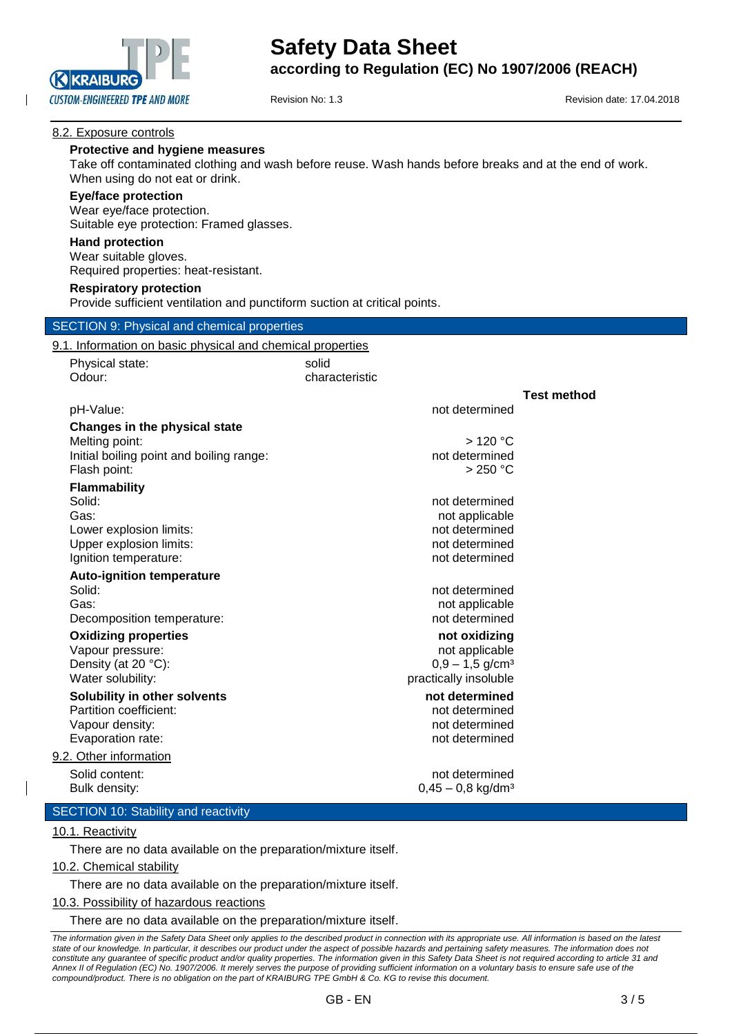

Revision No: 1.3 **Revision date: 17.04.2018** 

**Test method**

# 8.2. Exposure controls

## **Protective and hygiene measures**

Take off contaminated clothing and wash before reuse. Wash hands before breaks and at the end of work. When using do not eat or drink.

#### **Eye/face protection**

Wear eye/face protection. Suitable eye protection: Framed glasses.

#### **Hand protection**

Wear suitable gloves. Required properties: heat-resistant.

#### **Respiratory protection**

Provide sufficient ventilation and punctiform suction at critical points.

#### SECTION 9: Physical and chemical properties

#### 9.1. Information on basic physical and chemical properties

| Physical state: | solid          |
|-----------------|----------------|
| Odour:          | characteristic |
|                 |                |

#### pH-Value: not determined

**Changes in the physical state** Melting point:  $> 120 °C$ Initial boiling point and boiling range: not determined Flash point: > 250 °C

#### **Flammability**

Solid: **not determined** and the solid: **not determined** and the solid: **not determined** and the solid: Gas: **not applicable** contains the contains of the contains of the contains of the contains of the contains of the contains of the contains of the contains of the contains of the contains of the contains of the contains of Lower explosion limits: not determined Upper explosion limits: not determined Ignition temperature:  $\qquad \qquad \qquad$  not determined

# **Auto-ignition temperature**

Solid: **not determined** and the solid: **not determined** and the solid: **not determined** and the solid: Gas: **not applicable**  $\sim$  not applicable Decomposition temperature: not determined

## **Oxidizing properties not oxidizing**

Vapour pressure: not applicable values of a price and applicable values of applicable values of  $\sim$ Density (at 20 °C):  $0.9 - 1.5$  g/cm<sup>3</sup> Water solubility: example of the solubility: the practically insoluble that  $\mathbf p$  is practically insoluble

# **Solubility in other solvents not determined**

Partition coefficient: not determined Vapour density: not determined Evaporation rate: not determined

#### 9.2. Other information

Solid content: not determined Bulk density:  $0.45 - 0.8$  kg/dm<sup>3</sup>

# SECTION 10: Stability and reactivity

#### 10.1. Reactivity

There are no data available on the preparation/mixture itself.

## 10.2. Chemical stability

There are no data available on the preparation/mixture itself.

#### 10.3. Possibility of hazardous reactions

There are no data available on the preparation/mixture itself.

*The information given in the Safety Data Sheet only applies to the described product in connection with its appropriate use. All information is based on the latest*  state of our knowledge. In particular, it describes our product under the aspect of possible hazards and pertaining safety measures. The information does not constitute any guarantee of specific product and/or quality properties. The information given in this Safety Data Sheet is not required according to article 31 and *Annex II of Regulation (EC) No. 1907/2006. It merely serves the purpose of providing sufficient information on a voluntary basis to ensure safe use of the compound/product. There is no obligation on the part of KRAIBURG TPE GmbH & Co. KG to revise this document.*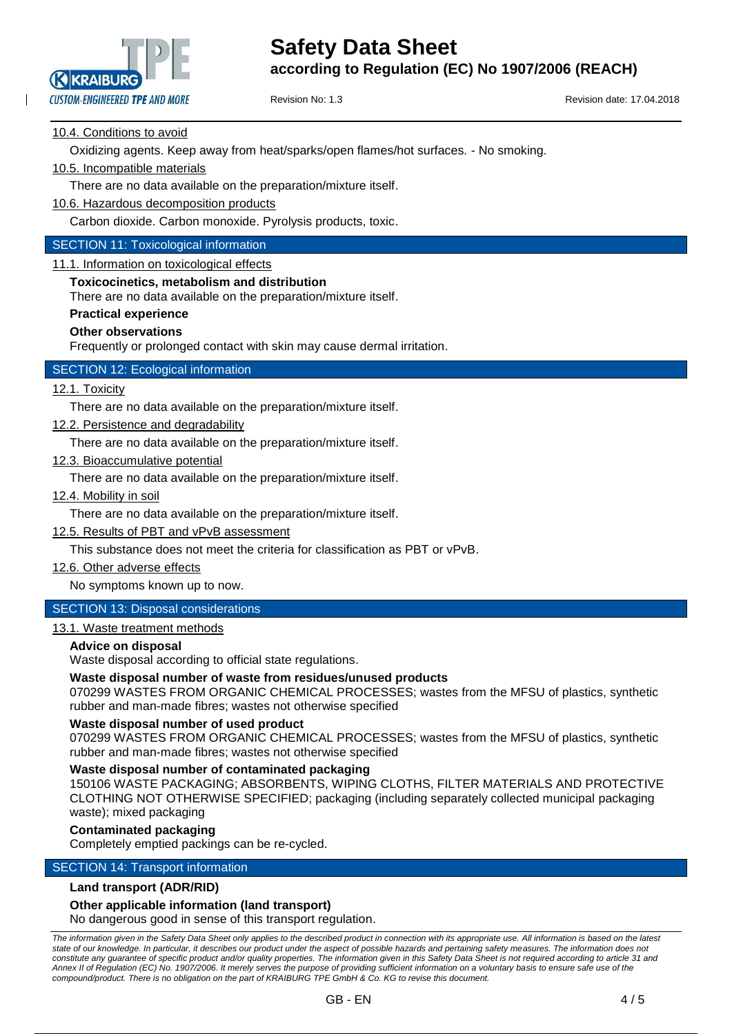

Revision No: 1.3 **Revision date: 17.04.2018** 

# 10.4. Conditions to avoid

Oxidizing agents. Keep away from heat/sparks/open flames/hot surfaces. - No smoking.

# 10.5. Incompatible materials

There are no data available on the preparation/mixture itself.

10.6. Hazardous decomposition products

Carbon dioxide. Carbon monoxide. Pyrolysis products, toxic.

## SECTION 11: Toxicological information

11.1. Information on toxicological effects

#### **Toxicocinetics, metabolism and distribution**

There are no data available on the preparation/mixture itself.

#### **Practical experience**

#### **Other observations**

Frequently or prolonged contact with skin may cause dermal irritation.

# SECTION 12: Ecological information

## 12.1. Toxicity

There are no data available on the preparation/mixture itself.

12.2. Persistence and degradability

There are no data available on the preparation/mixture itself.

12.3. Bioaccumulative potential

There are no data available on the preparation/mixture itself.

12.4. Mobility in soil

There are no data available on the preparation/mixture itself.

12.5. Results of PBT and vPvB assessment

This substance does not meet the criteria for classification as PBT or vPvB.

12.6. Other adverse effects

No symptoms known up to now.

# SECTION 13: Disposal considerations

# 13.1. Waste treatment methods

#### **Advice on disposal**

Waste disposal according to official state regulations.

#### **Waste disposal number of waste from residues/unused products**

070299 WASTES FROM ORGANIC CHEMICAL PROCESSES; wastes from the MFSU of plastics, synthetic rubber and man-made fibres; wastes not otherwise specified

#### **Waste disposal number of used product**

070299 WASTES FROM ORGANIC CHEMICAL PROCESSES; wastes from the MFSU of plastics, synthetic rubber and man-made fibres; wastes not otherwise specified

#### **Waste disposal number of contaminated packaging**

150106 WASTE PACKAGING; ABSORBENTS, WIPING CLOTHS, FILTER MATERIALS AND PROTECTIVE CLOTHING NOT OTHERWISE SPECIFIED; packaging (including separately collected municipal packaging waste); mixed packaging

#### **Contaminated packaging**

Completely emptied packings can be re-cycled.

# SECTION 14: Transport information

#### **Land transport (ADR/RID)**

## **Other applicable information (land transport)**

No dangerous good in sense of this transport regulation.

*The information given in the Safety Data Sheet only applies to the described product in connection with its appropriate use. All information is based on the latest state of our knowledge. In particular, it describes our product under the aspect of possible hazards and pertaining safety measures. The information does not*  constitute any guarantee of specific product and/or quality properties. The information given in this Safety Data Sheet is not required according to article 31 and *Annex II of Regulation (EC) No. 1907/2006. It merely serves the purpose of providing sufficient information on a voluntary basis to ensure safe use of the compound/product. There is no obligation on the part of KRAIBURG TPE GmbH & Co. KG to revise this document.*